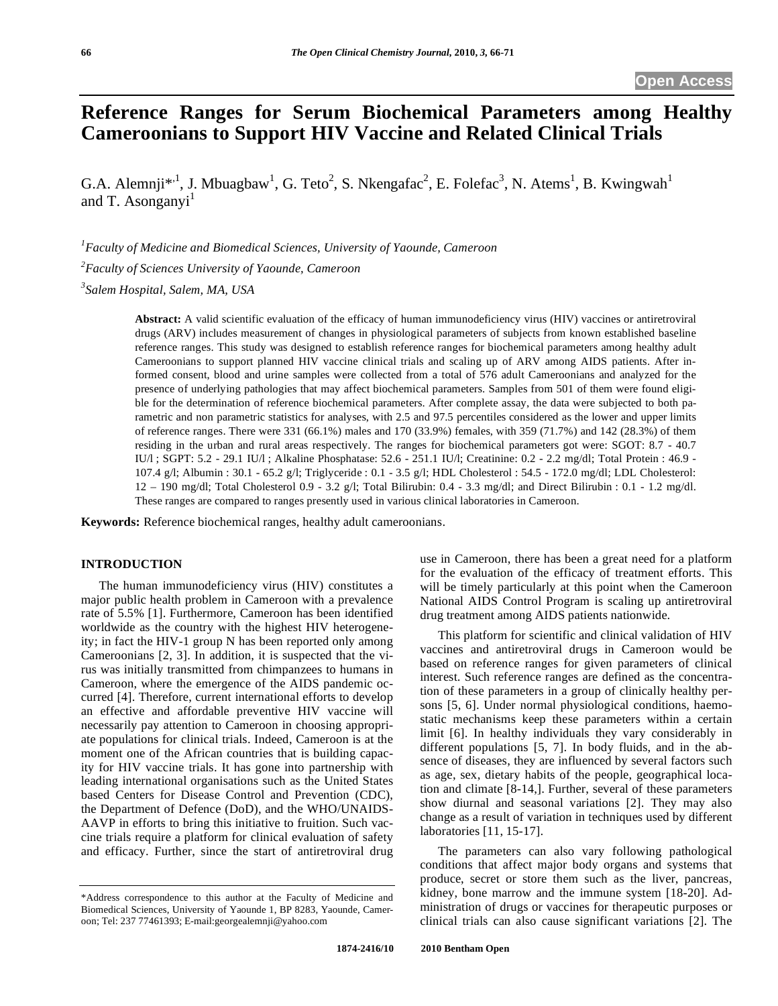# **Reference Ranges for Serum Biochemical Parameters among Healthy Cameroonians to Support HIV Vaccine and Related Clinical Trials**

G.A. Alemnji\*<sup>,1</sup>, J. Mbuagbaw<sup>1</sup>, G. Teto<sup>2</sup>, S. Nkengafac<sup>2</sup>, E. Folefac<sup>3</sup>, N. Atems<sup>1</sup>, B. Kwingwah<sup>1</sup> and T. Asonganyi $<sup>1</sup>$ </sup>

*1 Faculty of Medicine and Biomedical Sciences, University of Yaounde, Cameroon* 

*2 Faculty of Sciences University of Yaounde, Cameroon* 

*3 Salem Hospital, Salem, MA, USA* 

**Abstract:** A valid scientific evaluation of the efficacy of human immunodeficiency virus (HIV) vaccines or antiretroviral drugs (ARV) includes measurement of changes in physiological parameters of subjects from known established baseline reference ranges. This study was designed to establish reference ranges for biochemical parameters among healthy adult Cameroonians to support planned HIV vaccine clinical trials and scaling up of ARV among AIDS patients. After informed consent, blood and urine samples were collected from a total of 576 adult Cameroonians and analyzed for the presence of underlying pathologies that may affect biochemical parameters. Samples from 501 of them were found eligible for the determination of reference biochemical parameters. After complete assay, the data were subjected to both parametric and non parametric statistics for analyses, with 2.5 and 97.5 percentiles considered as the lower and upper limits of reference ranges. There were 331 (66.1%) males and 170 (33.9%) females, with 359 (71.7%) and 142 (28.3%) of them residing in the urban and rural areas respectively. The ranges for biochemical parameters got were: SGOT: 8.7 - 40.7 IU/l ; SGPT: 5.2 - 29.1 IU/l ; Alkaline Phosphatase: 52.6 - 251.1 IU/l; Creatinine: 0.2 - 2.2 mg/dl; Total Protein : 46.9 - 107.4 g/l; Albumin : 30.1 - 65.2 g/l; Triglyceride : 0.1 - 3.5 g/l; HDL Cholesterol : 54.5 - 172.0 mg/dl; LDL Cholesterol: 12 – 190 mg/dl; Total Cholesterol 0.9 - 3.2 g/l; Total Bilirubin: 0.4 - 3.3 mg/dl; and Direct Bilirubin : 0.1 - 1.2 mg/dl. These ranges are compared to ranges presently used in various clinical laboratories in Cameroon.

**Keywords:** Reference biochemical ranges, healthy adult cameroonians.

# **INTRODUCTION**

 The human immunodeficiency virus (HIV) constitutes a major public health problem in Cameroon with a prevalence rate of 5.5% [1]. Furthermore, Cameroon has been identified worldwide as the country with the highest HIV heterogeneity; in fact the HIV-1 group N has been reported only among Cameroonians [2, 3]. In addition, it is suspected that the virus was initially transmitted from chimpanzees to humans in Cameroon, where the emergence of the AIDS pandemic occurred [4]. Therefore, current international efforts to develop an effective and affordable preventive HIV vaccine will necessarily pay attention to Cameroon in choosing appropriate populations for clinical trials. Indeed, Cameroon is at the moment one of the African countries that is building capacity for HIV vaccine trials. It has gone into partnership with leading international organisations such as the United States based Centers for Disease Control and Prevention (CDC), the Department of Defence (DoD), and the WHO/UNAIDS-AAVP in efforts to bring this initiative to fruition. Such vaccine trials require a platform for clinical evaluation of safety and efficacy. Further, since the start of antiretroviral drug

National AIDS Control Program is scaling up antiretroviral drug treatment among AIDS patients nationwide. This platform for scientific and clinical validation of HIV vaccines and antiretroviral drugs in Cameroon would be based on reference ranges for given parameters of clinical

use in Cameroon, there has been a great need for a platform for the evaluation of the efficacy of treatment efforts. This will be timely particularly at this point when the Cameroon

interest. Such reference ranges are defined as the concentration of these parameters in a group of clinically healthy persons [5, 6]. Under normal physiological conditions, haemostatic mechanisms keep these parameters within a certain limit [6]. In healthy individuals they vary considerably in different populations [5, 7]. In body fluids, and in the absence of diseases, they are influenced by several factors such as age, sex, dietary habits of the people, geographical location and climate [8-14,]. Further, several of these parameters show diurnal and seasonal variations [2]. They may also change as a result of variation in techniques used by different laboratories [11, 15-17].

 The parameters can also vary following pathological conditions that affect major body organs and systems that produce, secret or store them such as the liver, pancreas, kidney, bone marrow and the immune system [18-20]. Administration of drugs or vaccines for therapeutic purposes or clinical trials can also cause significant variations [2]. The

<sup>\*</sup>Address correspondence to this author at the Faculty of Medicine and Biomedical Sciences, University of Yaounde 1, BP 8283, Yaounde, Cameroon; Tel: 237 77461393; E-mail:georgealemnji@yahoo.com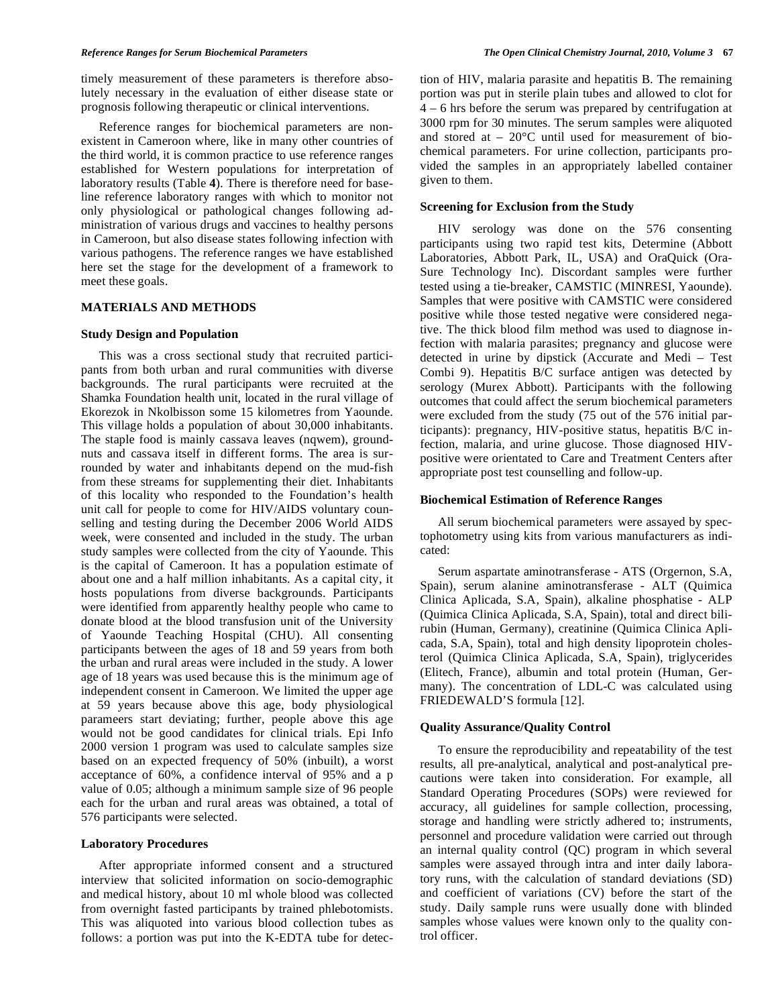timely measurement of these parameters is therefore absolutely necessary in the evaluation of either disease state or prognosis following therapeutic or clinical interventions.

 Reference ranges for biochemical parameters are nonexistent in Cameroon where, like in many other countries of the third world, it is common practice to use reference ranges established for Western populations for interpretation of laboratory results (Table **4**). There is therefore need for baseline reference laboratory ranges with which to monitor not only physiological or pathological changes following administration of various drugs and vaccines to healthy persons in Cameroon, but also disease states following infection with various pathogens. The reference ranges we have established here set the stage for the development of a framework to meet these goals.

# **MATERIALS AND METHODS**

# **Study Design and Population**

 This was a cross sectional study that recruited participants from both urban and rural communities with diverse backgrounds. The rural participants were recruited at the Shamka Foundation health unit, located in the rural village of Ekorezok in Nkolbisson some 15 kilometres from Yaounde. This village holds a population of about 30,000 inhabitants. The staple food is mainly cassava leaves (nqwem), groundnuts and cassava itself in different forms. The area is surrounded by water and inhabitants depend on the mud-fish from these streams for supplementing their diet. Inhabitants of this locality who responded to the Foundation's health unit call for people to come for HIV/AIDS voluntary counselling and testing during the December 2006 World AIDS week, were consented and included in the study. The urban study samples were collected from the city of Yaounde. This is the capital of Cameroon. It has a population estimate of about one and a half million inhabitants. As a capital city, it hosts populations from diverse backgrounds. Participants were identified from apparently healthy people who came to donate blood at the blood transfusion unit of the University of Yaounde Teaching Hospital (CHU). All consenting participants between the ages of 18 and 59 years from both the urban and rural areas were included in the study. A lower age of 18 years was used because this is the minimum age of independent consent in Cameroon. We limited the upper age at 59 years because above this age, body physiological parameers start deviating; further, people above this age would not be good candidates for clinical trials. Epi Info 2000 version 1 program was used to calculate samples size based on an expected frequency of 50% (inbuilt), a worst acceptance of 60%, a confidence interval of 95% and a p value of 0.05; although a minimum sample size of 96 people each for the urban and rural areas was obtained, a total of 576 participants were selected.

# **Laboratory Procedures**

 After appropriate informed consent and a structured interview that solicited information on socio-demographic and medical history, about 10 ml whole blood was collected from overnight fasted participants by trained phlebotomists. This was aliquoted into various blood collection tubes as follows: a portion was put into the K-EDTA tube for detection of HIV, malaria parasite and hepatitis B. The remaining portion was put in sterile plain tubes and allowed to clot for 4 – 6 hrs before the serum was prepared by centrifugation at 3000 rpm for 30 minutes. The serum samples were aliquoted and stored at  $-20^{\circ}$ C until used for measurement of biochemical parameters. For urine collection, participants provided the samples in an appropriately labelled container given to them.

### **Screening for Exclusion from the Study**

 HIV serology was done on the 576 consenting participants using two rapid test kits, Determine (Abbott Laboratories, Abbott Park, IL, USA) and OraQuick (Ora-Sure Technology Inc). Discordant samples were further tested using a tie-breaker, CAMSTIC (MINRESI, Yaounde). Samples that were positive with CAMSTIC were considered positive while those tested negative were considered negative. The thick blood film method was used to diagnose infection with malaria parasites; pregnancy and glucose were detected in urine by dipstick (Accurate and Medi – Test Combi 9). Hepatitis B/C surface antigen was detected by serology (Murex Abbott). Participants with the following outcomes that could affect the serum biochemical parameters were excluded from the study (75 out of the 576 initial participants): pregnancy, HIV-positive status, hepatitis B/C infection, malaria, and urine glucose. Those diagnosed HIVpositive were orientated to Care and Treatment Centers after appropriate post test counselling and follow-up.

# **Biochemical Estimation of Reference Ranges**

 All serum biochemical parameters were assayed by spectophotometry using kits from various manufacturers as indicated:

 Serum aspartate aminotransferase - ATS (Orgernon, S.A, Spain), serum alanine aminotransferase - ALT (Quimica Clinica Aplicada, S.A, Spain), alkaline phosphatise - ALP (Quimica Clinica Aplicada, S.A, Spain), total and direct bilirubin (Human, Germany), creatinine (Quimica Clinica Aplicada, S.A, Spain), total and high density lipoprotein cholesterol (Quimica Clinica Aplicada, S.A, Spain), triglycerides (Elitech, France), albumin and total protein (Human, Germany). The concentration of LDL-C was calculated using FRIEDEWALD'S formula [12].

# **Quality Assurance/Quality Control**

 To ensure the reproducibility and repeatability of the test results, all pre-analytical, analytical and post-analytical precautions were taken into consideration. For example, all Standard Operating Procedures (SOPs) were reviewed for accuracy, all guidelines for sample collection, processing, storage and handling were strictly adhered to; instruments, personnel and procedure validation were carried out through an internal quality control (QC) program in which several samples were assayed through intra and inter daily laboratory runs, with the calculation of standard deviations (SD) and coefficient of variations (CV) before the start of the study. Daily sample runs were usually done with blinded samples whose values were known only to the quality control officer.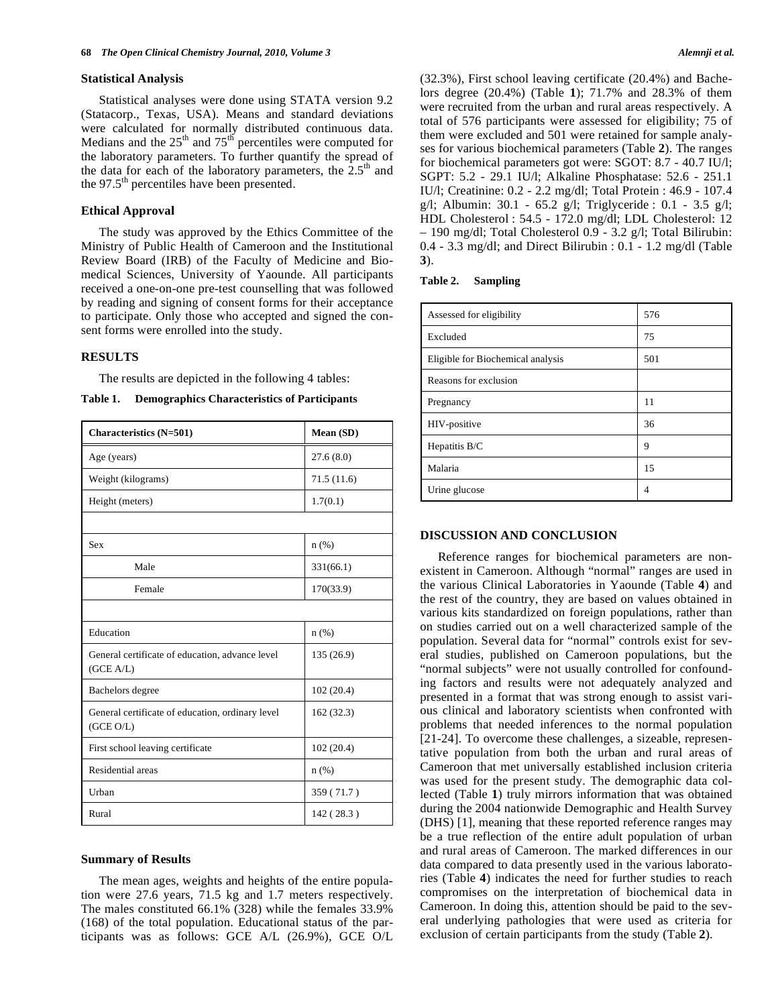#### **Statistical Analysis**

 Statistical analyses were done using STATA version 9.2 (Statacorp., Texas, USA). Means and standard deviations were calculated for normally distributed continuous data. Medians and the  $25<sup>th</sup>$  and  $75<sup>th</sup>$  percentiles were computed for the laboratory parameters. To further quantify the spread of the data for each of the laboratory parameters, the  $2.5<sup>th</sup>$  and the  $97.5<sup>th</sup>$  percentiles have been presented.

# **Ethical Approval**

 The study was approved by the Ethics Committee of the Ministry of Public Health of Cameroon and the Institutional Review Board (IRB) of the Faculty of Medicine and Biomedical Sciences, University of Yaounde. All participants received a one-on-one pre-test counselling that was followed by reading and signing of consent forms for their acceptance to participate. Only those who accepted and signed the consent forms were enrolled into the study.

# **RESULTS**

The results are depicted in the following 4 tables:

| Table 1. |  | <b>Demographics Characteristics of Participants</b> |  |
|----------|--|-----------------------------------------------------|--|
|----------|--|-----------------------------------------------------|--|

| <b>Characteristics</b> (N=501)                                | Mean (SD)  |
|---------------------------------------------------------------|------------|
| Age (years)                                                   | 27.6(8.0)  |
| Weight (kilograms)                                            | 71.5(11.6) |
| Height (meters)                                               | 1.7(0.1)   |
|                                                               |            |
| Sex                                                           | $n$ (%)    |
| Male                                                          | 331(66.1)  |
| Female                                                        | 170(33.9)  |
|                                                               |            |
| Education                                                     | $n$ (%)    |
| General certificate of education, advance level<br>(GCE A/L)  | 135 (26.9) |
| Bachelors degree                                              | 102(20.4)  |
| General certificate of education, ordinary level<br>(GCE O/L) | 162 (32.3) |
| First school leaving certificate                              | 102(20.4)  |
| Residential areas                                             | $n$ (%)    |
| Urban                                                         | 359 (71.7) |
| Rural                                                         | 142 (28.3) |

# **Summary of Results**

 The mean ages, weights and heights of the entire population were 27.6 years, 71.5 kg and 1.7 meters respectively. The males constituted 66.1% (328) while the females 33.9% (168) of the total population. Educational status of the participants was as follows: GCE A/L (26.9%), GCE O/L (32.3%), First school leaving certificate (20.4%) and Bachelors degree (20.4%) (Table **1**); 71.7% and 28.3% of them were recruited from the urban and rural areas respectively. A total of 576 participants were assessed for eligibility; 75 of them were excluded and 501 were retained for sample analyses for various biochemical parameters (Table **2**). The ranges for biochemical parameters got were: SGOT: 8.7 - 40.7 IU/l; SGPT: 5.2 - 29.1 IU/l; Alkaline Phosphatase: 52.6 - 251.1 IU/l; Creatinine: 0.2 - 2.2 mg/dl; Total Protein : 46.9 - 107.4 g/l; Albumin:  $30.1 - 65.2$  g/l; Triglyceride :  $0.1 - 3.5$  g/l; HDL Cholesterol : 54.5 - 172.0 mg/dl; LDL Cholesterol: 12 – 190 mg/dl; Total Cholesterol 0.9 - 3.2 g/l; Total Bilirubin: 0.4 - 3.3 mg/dl; and Direct Bilirubin : 0.1 - 1.2 mg/dl (Table **3**).

| Table 2. | <b>Sampling</b> |
|----------|-----------------|
|----------|-----------------|

| Assessed for eligibility          | 576 |
|-----------------------------------|-----|
| Excluded                          | 75  |
| Eligible for Biochemical analysis | 501 |
| Reasons for exclusion             |     |
| Pregnancy                         | 11  |
| HIV-positive                      | 36  |
| Hepatitis B/C                     | 9   |
| Malaria                           | 15  |
| Urine glucose                     | 4   |

#### **DISCUSSION AND CONCLUSION**

 Reference ranges for biochemical parameters are nonexistent in Cameroon. Although "normal" ranges are used in the various Clinical Laboratories in Yaounde (Table **4**) and the rest of the country, they are based on values obtained in various kits standardized on foreign populations, rather than on studies carried out on a well characterized sample of the population. Several data for "normal" controls exist for several studies, published on Cameroon populations, but the "normal subjects" were not usually controlled for confounding factors and results were not adequately analyzed and presented in a format that was strong enough to assist various clinical and laboratory scientists when confronted with problems that needed inferences to the normal population [21-24]. To overcome these challenges, a sizeable, representative population from both the urban and rural areas of Cameroon that met universally established inclusion criteria was used for the present study. The demographic data collected (Table **1**) truly mirrors information that was obtained during the 2004 nationwide Demographic and Health Survey (DHS) [1], meaning that these reported reference ranges may be a true reflection of the entire adult population of urban and rural areas of Cameroon. The marked differences in our data compared to data presently used in the various laboratories (Table **4**) indicates the need for further studies to reach compromises on the interpretation of biochemical data in Cameroon. In doing this, attention should be paid to the several underlying pathologies that were used as criteria for exclusion of certain participants from the study (Table **2**).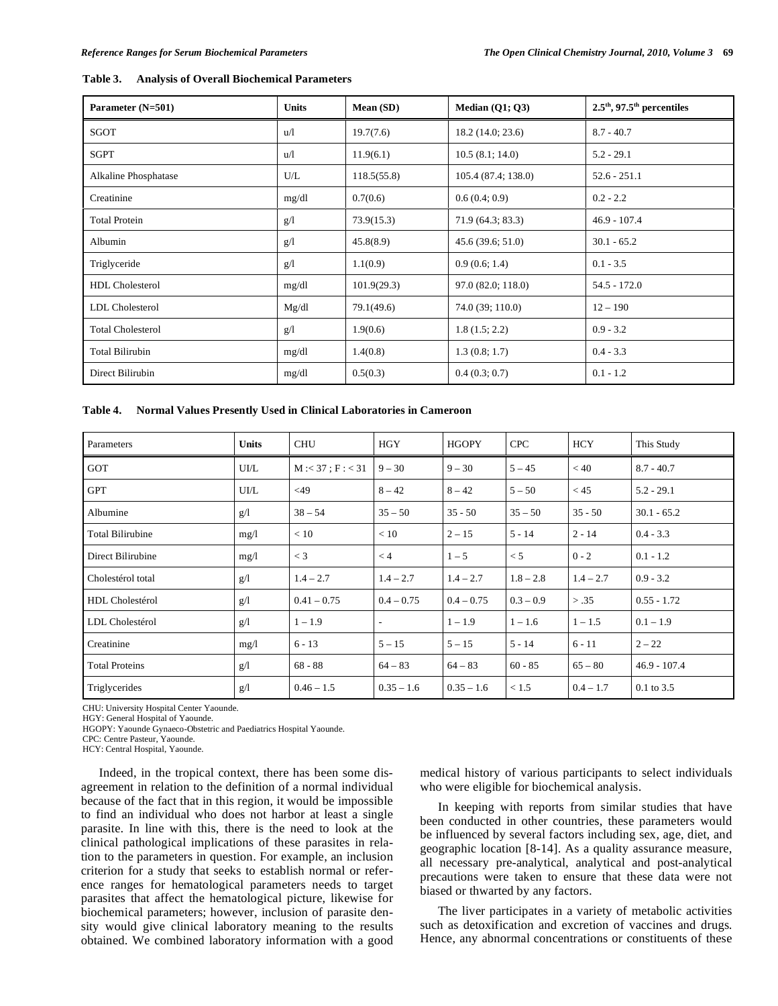| Parameter (N=501)        | <b>Units</b> | Mean (SD)   | Median $(Q1; Q3)$  | $2.5^{\text{th}}$ , 97.5 <sup>th</sup> percentiles |  |
|--------------------------|--------------|-------------|--------------------|----------------------------------------------------|--|
| SGOT                     | u/l          | 19.7(7.6)   | 18.2(14.0; 23.6)   | $8.7 - 40.7$                                       |  |
| <b>SGPT</b>              | uЛ           | 11.9(6.1)   | 10.5(8.1; 14.0)    | $5.2 - 29.1$                                       |  |
| Alkaline Phosphatase     | U/L          | 118.5(55.8) | 105.4(87.4; 138.0) | $52.6 - 251.1$                                     |  |
| Creatinine               | mg/dl        | 0.7(0.6)    | 0.6(0.4;0.9)       | $0.2 - 2.2$                                        |  |
| <b>Total Protein</b>     | g/l          | 73.9(15.3)  | 71.9 (64.3; 83.3)  | $46.9 - 107.4$                                     |  |
| Albumin                  | g/l          | 45.8(8.9)   | 45.6(39.6; 51.0)   | $30.1 - 65.2$                                      |  |
| Triglyceride             | g/l          | 1.1(0.9)    | 0.9(0.6; 1.4)      | $0.1 - 3.5$                                        |  |
| <b>HDL</b> Cholesterol   | mg/dl        | 101.9(29.3) | 97.0 (82.0; 118.0) | $54.5 - 172.0$                                     |  |
| LDL Cholesterol          | Mg/dl        | 79.1(49.6)  | 74.0 (39; 110.0)   | $12 - 190$                                         |  |
| <b>Total Cholesterol</b> | g/l          | 1.9(0.6)    | 1.8(1.5; 2.2)      | $0.9 - 3.2$                                        |  |
| <b>Total Bilirubin</b>   | mg/dl        | 1.4(0.8)    | 1.3(0.8; 1.7)      | $0.4 - 3.3$                                        |  |
| Direct Bilirubin         | mg/dl        | 0.5(0.3)    | 0.4(0.3; 0.7)      | $0.1 - 1.2$                                        |  |

| Table 4.<br><b>Normal Values Presently Used in Clinical Laboratories in Cameroon</b> |
|--------------------------------------------------------------------------------------|
|--------------------------------------------------------------------------------------|

| Parameters              | <b>Units</b> | <b>CHU</b>          | <b>HGY</b>   | <b>HGOPY</b> | <b>CPC</b>  | HCY         | This Study     |
|-------------------------|--------------|---------------------|--------------|--------------|-------------|-------------|----------------|
| <b>GOT</b>              | UI/L         | $M: < 37$ ; F: < 31 | $9 - 30$     | $9 - 30$     | $5 - 45$    | < 40        | $8.7 - 40.7$   |
| <b>GPT</b>              | UI/L         | $<$ 49              | $8 - 42$     | $8 - 42$     | $5 - 50$    | < 45        | $5.2 - 29.1$   |
| Albumine                | g/l          | $38 - 54$           | $35 - 50$    | $35 - 50$    | $35 - 50$   | $35 - 50$   | $30.1 - 65.2$  |
| <b>Total Bilirubine</b> | mg/l         | < 10                | < 10         | $2 - 15$     | $5 - 14$    | $2 - 14$    | $0.4 - 3.3$    |
| Direct Bilirubine       | mg/l         | $\lt$ 3             | < 4          | $1 - 5$      | < 5         | $0 - 2$     | $0.1 - 1.2$    |
| Cholestérol total       | g/l          | $1.4 - 2.7$         | $1.4 - 2.7$  | $1.4 - 2.7$  | $1.8 - 2.8$ | $1.4 - 2.7$ | $0.9 - 3.2$    |
| HDL Cholestérol         | g/l          | $0.41 - 0.75$       | $0.4 - 0.75$ | $0.4 - 0.75$ | $0.3 - 0.9$ | > .35       | $0.55 - 1.72$  |
| LDL Cholestérol         | g/l          | $1 - 1.9$           | ٠            | $1 - 1.9$    | $1 - 1.6$   | $1 - 1.5$   | $0.1 - 1.9$    |
| Creatinine              | mg/1         | $6 - 13$            | $5 - 15$     | $5 - 15$     | $5 - 14$    | $6 - 11$    | $2 - 22$       |
| <b>Total Proteins</b>   | g/l          | $68 - 88$           | $64 - 83$    | $64 - 83$    | $60 - 85$   | $65 - 80$   | $46.9 - 107.4$ |
| Triglycerides           | g/1          | $0.46 - 1.5$        | $0.35 - 1.6$ | $0.35 - 1.6$ | < 1.5       | $0.4 - 1.7$ | $0.1$ to 3.5   |

CHU: University Hospital Center Yaounde.

HGY: General Hospital of Yaounde.

HGOPY: Yaounde Gynaeco-Obstetric and Paediatrics Hospital Yaounde.

CPC: Centre Pasteur, Yaounde.

HCY: Central Hospital, Yaounde.

 Indeed, in the tropical context, there has been some disagreement in relation to the definition of a normal individual because of the fact that in this region, it would be impossible to find an individual who does not harbor at least a single parasite. In line with this, there is the need to look at the clinical pathological implications of these parasites in relation to the parameters in question. For example, an inclusion criterion for a study that seeks to establish normal or reference ranges for hematological parameters needs to target parasites that affect the hematological picture, likewise for biochemical parameters; however, inclusion of parasite density would give clinical laboratory meaning to the results obtained. We combined laboratory information with a good

medical history of various participants to select individuals who were eligible for biochemical analysis.

 In keeping with reports from similar studies that have been conducted in other countries, these parameters would be influenced by several factors including sex, age, diet, and geographic location [8-14]. As a quality assurance measure, all necessary pre-analytical, analytical and post-analytical precautions were taken to ensure that these data were not biased or thwarted by any factors.

 The liver participates in a variety of metabolic activities such as detoxification and excretion of vaccines and drugs. Hence, any abnormal concentrations or constituents of these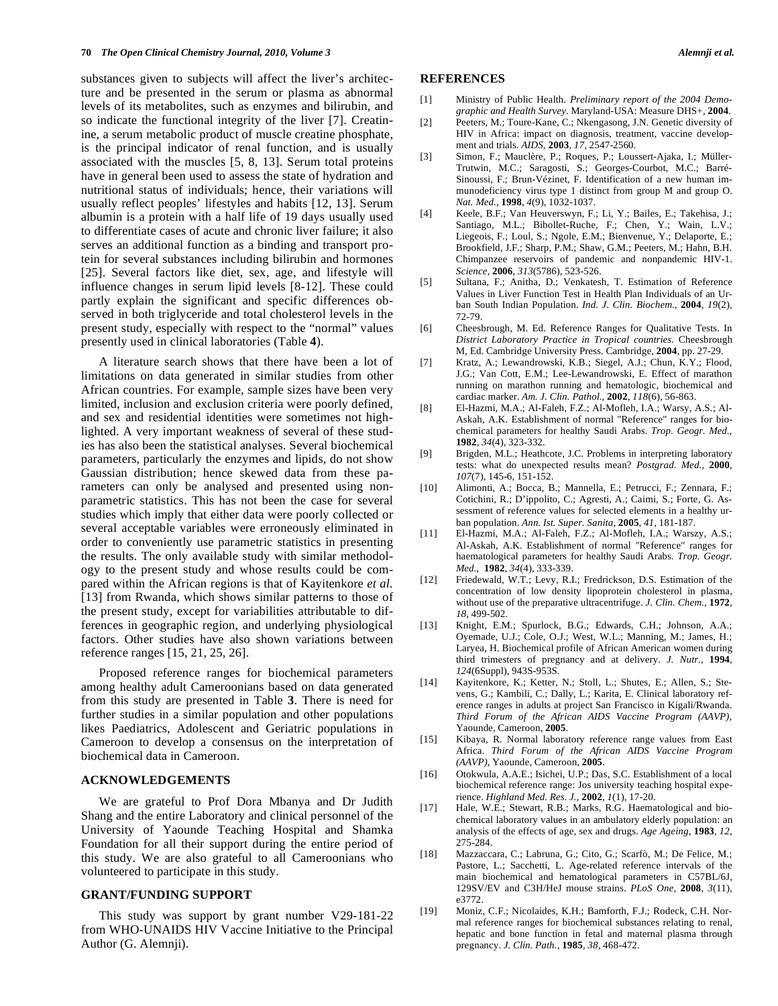substances given to subjects will affect the liver's architecture and be presented in the serum or plasma as abnormal levels of its metabolites, such as enzymes and bilirubin, and so indicate the functional integrity of the liver [7]. Creatinine, a serum metabolic product of muscle creatine phosphate, is the principal indicator of renal function, and is usually associated with the muscles [5, 8, 13]. Serum total proteins have in general been used to assess the state of hydration and nutritional status of individuals; hence, their variations will usually reflect peoples' lifestyles and habits [12, 13]. Serum albumin is a protein with a half life of 19 days usually used to differentiate cases of acute and chronic liver failure; it also serves an additional function as a binding and transport protein for several substances including bilirubin and hormones [25]. Several factors like diet, sex, age, and lifestyle will influence changes in serum lipid levels [8-12]. These could partly explain the significant and specific differences observed in both triglyceride and total cholesterol levels in the present study, especially with respect to the "normal" values presently used in clinical laboratories (Table **4**).

 A literature search shows that there have been a lot of limitations on data generated in similar studies from other African countries. For example, sample sizes have been very limited, inclusion and exclusion criteria were poorly defined, and sex and residential identities were sometimes not highlighted. A very important weakness of several of these studies has also been the statistical analyses. Several biochemical parameters, particularly the enzymes and lipids, do not show Gaussian distribution; hence skewed data from these parameters can only be analysed and presented using nonparametric statistics. This has not been the case for several studies which imply that either data were poorly collected or several acceptable variables were erroneously eliminated in order to conveniently use parametric statistics in presenting the results. The only available study with similar methodology to the present study and whose results could be compared within the African regions is that of Kayitenkore *et al.* [13] from Rwanda, which shows similar patterns to those of the present study, except for variabilities attributable to differences in geographic region, and underlying physiological factors. Other studies have also shown variations between reference ranges [15, 21, 25, 26].

 Proposed reference ranges for biochemical parameters among healthy adult Cameroonians based on data generated from this study are presented in Table **3**. There is need for further studies in a similar population and other populations likes Paediatrics, Adolescent and Geriatric populations in Cameroon to develop a consensus on the interpretation of biochemical data in Cameroon.

# **ACKNOWLEDGEMENTS**

 We are grateful to Prof Dora Mbanya and Dr Judith Shang and the entire Laboratory and clinical personnel of the University of Yaounde Teaching Hospital and Shamka Foundation for all their support during the entire period of this study. We are also grateful to all Cameroonians who volunteered to participate in this study.

# **GRANT/FUNDING SUPPORT**

 This study was support by grant number V29-181-22 from WHO-UNAIDS HIV Vaccine Initiative to the Principal Author (G. Alemnji).

## **REFERENCES**

- [1] Ministry of Public Health. *Preliminary report of the 2004 Demographic and Health Survey*. Maryland-USA: Measure DHS+, **2004**.
- [2] Peeters, M.; Toure-Kane, C.; Nkengasong, J.N. Genetic diversity of HIV in Africa: impact on diagnosis, treatment, vaccine development and trials. *AIDS,* **2003***, 17,* 2547-2560.
- [3] Simon, F.; Mauclère, P.; Roques, P.; Loussert-Ajaka, I.; Müller-Trutwin, M.C.; Saragosti, S.; Georges-Courbot, M.C.; Barré-Sinoussi, F.; Brun-Vézinet, F. Identification of a new human immunodeficiency virus type 1 distinct from group M and group O. *Nat. Med.*, **1998**, *4*(9), 1032-1037.
- [4] Keele, B.F.; Van Heuverswyn, F.; Li, Y.; Bailes, E.; Takehisa, J.; Santiago, M.L.; Bibollet-Ruche, F.; Chen, Y.; Wain, L.V.; Liegeois, F.; Loul, S.; Ngole, E.M.; Bienvenue, Y.; Delaporte, E.; Brookfield, J.F.; Sharp, P.M.; Shaw, G.M.; Peeters, M.; Hahn, B.H. Chimpanzee reservoirs of pandemic and nonpandemic HIV-1. *Science,* **2006**, *313*(5786), 523-526.
- [5] Sultana, F.; Anitha, D.; Venkatesh, T. Estimation of Reference Values in Liver Function Test in Health Plan Individuals of an Urban South Indian Population. *Ind. J. Clin. Biochem.*, **2004**, *19*(2), 72-79.
- [6] Cheesbrough, M. Ed. Reference Ranges for Qualitative Tests. In *District Laboratory Practice in Tropical countries.* Cheesbrough M, Ed. Cambridge University Press. Cambridge, **2004**, pp. 27-29.
- [7] Kratz, A.; Lewandrowski, K.B.; Siegel, A.J.; Chun, K.Y.; Flood, J.G.; Van Cott, E.M.; Lee-Lewandrowski, E. Effect of marathon running on marathon running and hematologic, biochemical and cardiac marker. *Am. J. Clin. Pathol.*, **2002**, *118*(6), 56-863.
- [8] El-Hazmi, M.A.; Al-Faleh, F.Z.; Al-Mofleh, I.A.; Warsy, A.S.; Al-Askah, A.K. Establishment of normal "Reference" ranges for biochemical parameters for healthy Saudi Arabs. *Trop. Geogr. Med.*, **1982**, *34*(4), 323-332.
- [9] Brigden, M.L.; Heathcote, J.C. Problems in interpreting laboratory tests: what do unexpected results mean? *Postgrad. Med.,* **2000**, *107*(7), 145-6, 151-152.
- [10] Alimonti, A.; Bocca, B.; Mannella, E.; Petrucci, F.; Zennara, F.; Cotichini, R.; D'ippolito, C.; Agresti, A.; Caimi, S.; Forte, G. Assessment of reference values for selected elements in a healthy urban population. *Ann. Ist. Super. Sanita*, **2005**, *41*, 181-187.
- [11] El-Hazmi, M.A.; Al-Faleh, F.Z.; Al-Mofleh, I.A.; Warszy, A.S.; Al-Askah, A.K. Establishment of normal "Reference" ranges for haematological parameters for healthy Saudi Arabs. *Trop. Geogr. Med.*, **1982**, *34*(4), 333-339.
- [12] Friedewald, W.T.; Levy, R.I.; Fredrickson, D.S. Estimation of the concentration of low density lipoprotein cholesterol in plasma, without use of the preparative ultracentrifuge. *J. Clin. Chem.*, **1972**, *18*, 499-502.
- [13] Knight, E.M.; Spurlock, B.G.; Edwards, C.H.; Johnson, A.A.; Oyemade, U.J.; Cole, O.J.; West, W.L.; Manning, M.; James, H.; Laryea, H. Biochemical profile of African American women during third trimesters of pregnancy and at delivery. *J. Nutr.,* **1994**, *124*(6Suppl), 943S-953S.
- [14] Kayitenkore, K.; Ketter, N.; Stoll, L.; Shutes, E.; Allen, S.; Stevens, G.; Kambili, C.; Dally, L.; Karita, E. Clinical laboratory reference ranges in adults at project San Francisco in Kigali/Rwanda. *Third Forum of the African AIDS Vaccine Program (AAVP)*, Yaounde, Cameroon, **2005**.
- [15] Kibaya, R. Normal laboratory reference range values from East Africa. *Third Forum of the African AIDS Vaccine Program (AAVP)*, Yaounde, Cameroon, **2005**.
- [16] Otokwula, A.A.E.; Isichei, U.P.; Das, S.C. Establishment of a local biochemical reference range: Jos university teaching hospital experience. *Highland Med. Res. J.,* **2002***, 1*(1), 17-20.
- [17] Hale, W.E.; Stewart, R.B.; Marks, R.G. Haematological and biochemical laboratory values in an ambulatory elderly population: an analysis of the effects of age, sex and drugs. *Age Ageing*, **1983**, *12*, 275-284.
- [18] Mazzaccara, C.; Labruna, G.; Cito, G.; Scarfò, M.; De Felice, M.; Pastore, L.; Sacchetti, L. Age-related reference intervals of the main biochemical and hematological parameters in C57BL/6J, 129SV/EV and C3H/HeJ mouse strains. *PLoS One*, **2008**, *3*(11), e3772.
- [19] Moniz, C.F.; Nicolaides, K.H.; Bamforth, F.J.; Rodeck, C.H. Normal reference ranges for biochemical substances relating to renal, hepatic and bone function in fetal and maternal plasma through pregnancy. *J. Clin. Path.*, **1985**, *38*, 468-472.